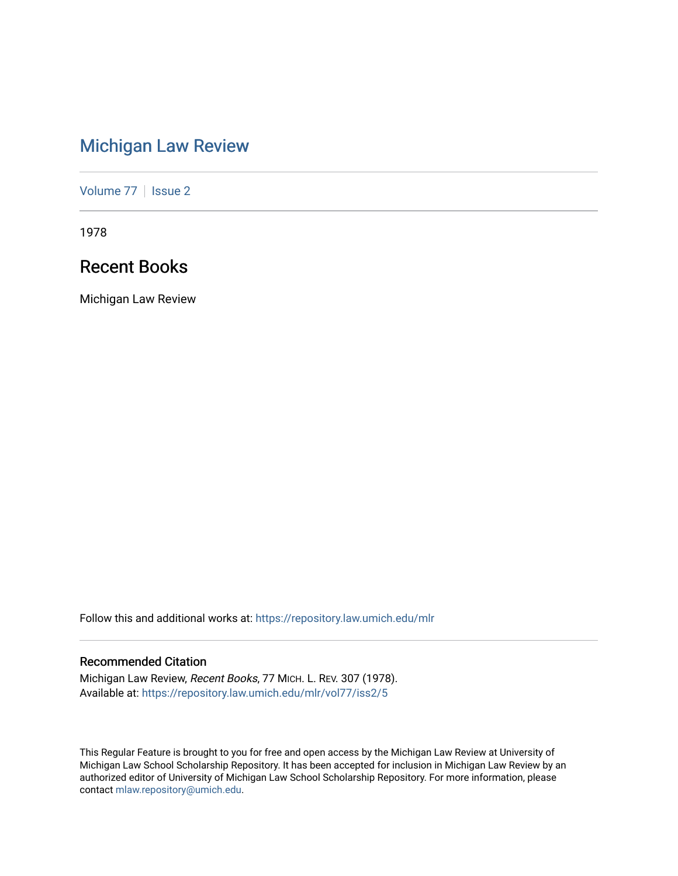# [Michigan Law Review](https://repository.law.umich.edu/mlr)

[Volume 77](https://repository.law.umich.edu/mlr/vol77) | [Issue 2](https://repository.law.umich.edu/mlr/vol77/iss2)

1978

# Recent Books

Michigan Law Review

Follow this and additional works at: [https://repository.law.umich.edu/mlr](https://repository.law.umich.edu/mlr?utm_source=repository.law.umich.edu%2Fmlr%2Fvol77%2Fiss2%2F5&utm_medium=PDF&utm_campaign=PDFCoverPages) 

## Recommended Citation

Michigan Law Review, Recent Books, 77 MICH. L. REV. 307 (1978). Available at: [https://repository.law.umich.edu/mlr/vol77/iss2/5](https://repository.law.umich.edu/mlr/vol77/iss2/5?utm_source=repository.law.umich.edu%2Fmlr%2Fvol77%2Fiss2%2F5&utm_medium=PDF&utm_campaign=PDFCoverPages)

This Regular Feature is brought to you for free and open access by the Michigan Law Review at University of Michigan Law School Scholarship Repository. It has been accepted for inclusion in Michigan Law Review by an authorized editor of University of Michigan Law School Scholarship Repository. For more information, please contact [mlaw.repository@umich.edu](mailto:mlaw.repository@umich.edu).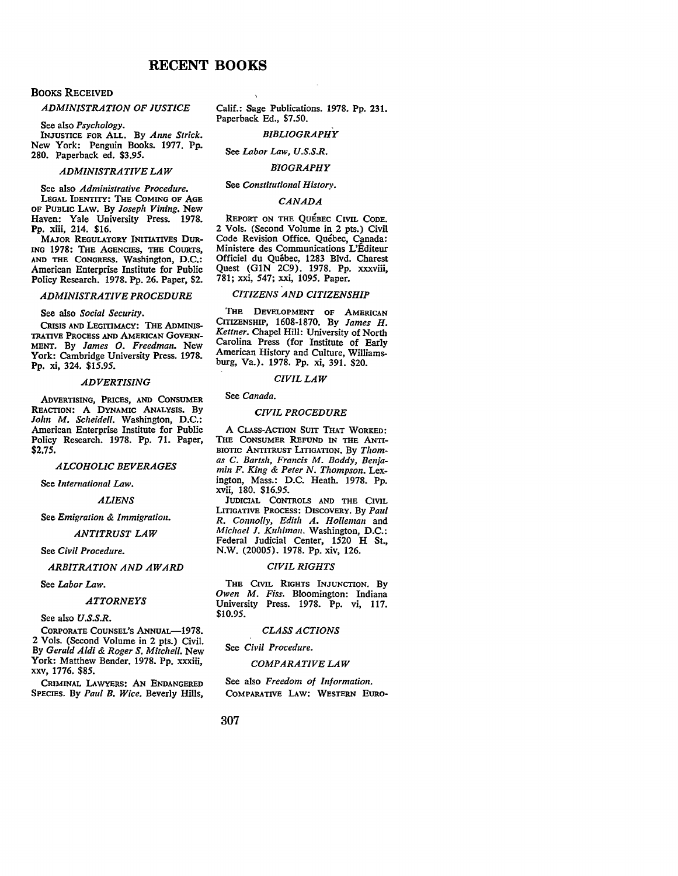## **RECENT BOOKS**

## BOOKS RECEIVED

#### *ADMINISTRATION OF JUSTICE*

See also *Psychology.* 

INJUSTICE FOR ALL. By *Anne Strick.*  New York: Penguin Books. 1977. Pp. 280. Paperback ed. \$3.95.

## *ADMINISTRATIVE LAW*

See also *Administrative Procedure.*  LEGAL IDENTITY: THE COMING OF AGE OF PUBLIC LAw. By *Joseph Vining.* New Haven: Yale University Press. 1978. Pp. xiii, 214. \$16.

MAJOR REGULATORY INITIATIVES DUR-ING 1978: THE AGENCIES, THE COURTS, AND THE CONGRESS. Washington, D.C.: American Enterprise Institute for Public Policy Research. 1978. Pp. 26. Paper, \$2.

#### *ADMINISTRATIVE PROCEDURE*

#### See also *Social Security.*

CRISIS AND LEGITIMACY: THE ADMINIS-TRATIVE PROCESS AND AMERICAN GOVERN-MENT. By *James 0. Freedman.* New York: Cambridge University Press. 1978. **Pp.** xi, 324. \$15.95.

#### *ADVERTISING*

ADVERTISING, PRICES, AND CONSUMER REACTION: A DYNAMIC ANALYSIS. By *John M. Scheidell.* Washington, D.C.: American Enterprise Institute for Public Policy Research. 1978. Pp. 71. Paper, \$2.75.

## *ALCOHOLIC BEVERAGES*

See *International Law.* 

#### *ALIENS*

See *Emigration & Immigration.* 

#### *ANTITRUST LAW*

See *Civil Procedure.* 

#### *ARBITRATION AND AWARD*

See *Labor Law.* 

#### *ATTORNEYS*

See also *U.S.S.R.* 

CORPORATE COUNSEL'S ANNUAL-1978. 2 Vols. (Second Volume in 2 pts.) Civil. By *Gerald Aldi & Roger S. Mitchell.* New York: Matthew Bender. 1978. Pp. xxxiii, XXV, 1776. *\$85.* 

CRIMINAL LAWYERS: AN ENDANGERED SPECIES. By *Paul B. Wice.* Beverly Hills, Calif.: Sage Publications. 1978. Pp. 231. Paperback Ed., \$7.50.

## *BIBLIOGRAPHY*

See *Labor Law, U.S.S.R.* 

## *BIOGRAPHY*

#### See *Constitutional History.*

#### *CANADA*

REPORT ON THE QUEBEC CIVIL CODE. 2 Vols. (Second Volume in 2 pts.) Civil Code Revision Office. Quebec, Canada: Ministere des Communications L'Editeur Officiel du Quebec, 1283 Blvd. Charest Quest (GlN 2C9). 1978. Pp. xxxviii, 781; xxi, 547; xxi, 1095. Paper.

## *CITIZENS AND CITIZENSHIP*

THE DEVELOPMENT OF AMERICAN CITIZENSHIP, 1608-1870. By *James H. Kettner.* Chapel Hill: University of North Carolina Press (for Institute of Early American History and Culture, Williamsburg, Va.). 1978. Pp. xi, 391. \$20.

#### *CIVIL LAW*

#### See *Canada.*

#### *CIVIL PROCEDURE*

A CLASS-ACTION SUIT THAT WORKED: THE CONSUMER REFUND IN THE ANTI-BIOTIC ANTITRUST LITIGATION. By *Thomas C. Bartsh, Francis M. Boddy, Ben;amin F. King & Peter N. Thompson.* Lexington, Mass.: D.C. Heath. 1978. Pp. xvii, 180. \$16.95.

JUDICIAL CONTROLS AND THE CIVIL LITIGATIVE PROCESS: DISCOVERY. By *Paul R. Connolly, Edith A. Holleman and Michael J. Kuhlman.* Washington, D.C.: Federal Judicial Center, 1520 H St., N.W. (20005). 1978. Pp. xiv, 126.

#### *CIVIL RIGHTS*

THE CIVIL RIGHTS INJUNCTION. By *Owen M. Fiss.* Bloomington: Indiana University Press. 1978. Pp. vi, 117. \$10.95.

#### *CLASS ACTIONS*

See *Civil Procedure.* 

#### *COMPARATIVE LAW*

See also *Freedom of Information.*  COMPARATIVE LAw: WESTERN EURO-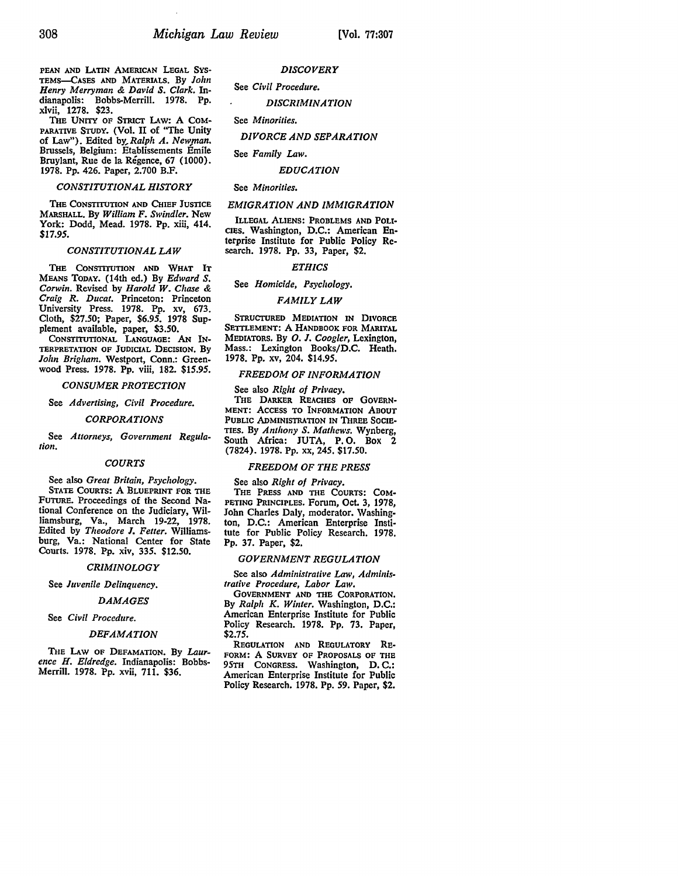PEAN AND LATIN AMERICAN LEGAL SYS-TEMs-CASES AND MATERIALS. By *John Henry Merryman* & *David S. Clark.* Indianapolis: Bobbs-Merrill. 1978. Pp. xlvii, 1278. \$23.

THE UNITY OF STRICT LAW: A COM-PARATIVE \$TuDY. (Vol. II of "The Unity of Law"). Edited *by,Ralph A. New,man.*  Brussels, Belgium: Etablissements Emile Bruylant, Rue de la Régence, 67 (1000). 1978. Pp. 426. Paper, 2.700 B.F.

#### *CONSTITUTIONAL HISTORY*

THE CONSTITUTION AND CHIEF JUSTICE MARSHALL. By *William F. Swindler.* New York: Dodd, Mead. 1978. Pp. xiii, 414. *\$11.95.* 

#### *CONSTITUTIONAL LAW*

THE CONSTITUTION AND WHAT IT MEANS TODAY. (14th ed.) By *Edward S. Corwin.* Revised by *Harold W. Chase* & *Craig R. Ducat.* Princeton: Princeton University Press. 1978. Pp. xv, 673. Cloth, \$27.50; Paper, *\$6.95.* 1978 Supplement available, paper, \$3.50.

CONSTITUTIONAL LANGUAGE: **AN IN-**TERPRETATION OF JUDICIAL DECISION. By *John Brigham.* Westport, Conn.: Greenwood Press. 1978. Pp. viii, 182. *\$15.95.* 

#### *CONSUMER PROTECTION*

#### See *Advertising, Civil Procedure.*

*CORPORATIONS* 

See *Attorneys, Government Regulation.* 

#### *COURTS*

See also *Great Britain, Psychology.*  STATE COURTS: A BLUEPRINT FOR THE FUTURE. Proceedings of the Second National Conference on the Judiciary, Williamsburg, Va., March 19-22, 1978. Edited by *Theodore I. Fetter.* Williamsburg, Va.: National Center for State Courts. 1978. Pp. xiv, 335. \$12.50.

#### *CRIMINOLOGY*

See *Juvenile Delinquency.* 

#### *DAMAGES*

See *Civil Procedure.* 

### *DEFAMATION*

THE LAW OF DEFAMATION. By *Laurence H. Eldredge.* Indianapolis: Bobbs-Merrill. 1978. Pp. xvii, 711. \$36.

## *DISCOVERY*

See *Civil Procedure.* 

*DISCRIMINATION* 

See *Minorities.* 

#### *DIVORCE AND SEPARATION*

See *Family Law.* 

#### *EDUCATION*

#### See *Minorities.*

#### *EMIGRATION AND IMMIGRATION*

ILLEGAL ALIENS: PROBLEMS AND POLI· CIEs. Washington, D.C.: American Enterprise Institute for Public Policy Research. 1978. Pp. 33, Paper, \$2.

#### *ETHICS*

See *Homicide*, Psychology.

#### *FAMILY LAW*

STRUCTURED MEDIATION IN DIVORCE SETTLEMENT: A HANDBOOK FOR MARITAL MEDIATORS. By *0. J. Coogler,* Lexington, Mass.: Lexington Books/D.C. Heath. 1978. Pp. xv, 204. \$14.95.

#### *FREEDOM OF INFORMATION*

See also *Right of Privacy.*  THE DARKER REACHES OF GOVERN• MENT: ACCESS TO INFORMATION ABOUT PUBLIC ADMINISTRATION IN THREE SOCIE• TIES. By *Anthony S. Mathews.* Wynberg, South Africa: JUTA, P.O. Box 2 (7824). 1978. Pp. xx, 245. \$17.50.

#### *FREEDOM OF THE PRESS*

See also *Right of Privacy.*  THE PRESS AND THE COURTS: COM• PETING PRINCIPLES. Forum, Oct. 3, 1978, John Charles Daly, moderator. Washington, D.C.: American Enterprise Institute for Public Policy Research. 1978. Pp. 37. Paper, \$2.

#### *GOVERNMENT REGULATION*

See also *Administrative Law, Administrative Procedure, Labor Law.* 

GOVERNMENT AND THE CORPORATION. By *Ralph K. Winter.* Washington, D.C.: American Enterprise Institute for Public Policy Research. 1978. Pp. 73. Paper, \$2.75.

REGULATION AND REGULATORY RE• FORM: A SURVEY OF PROPOSALS OF THE 95TH CONGRESS. Washington, D. C.: American Enterprise Institute for Public Policy Research. 1978. Pp. *59.* Paper, \$2.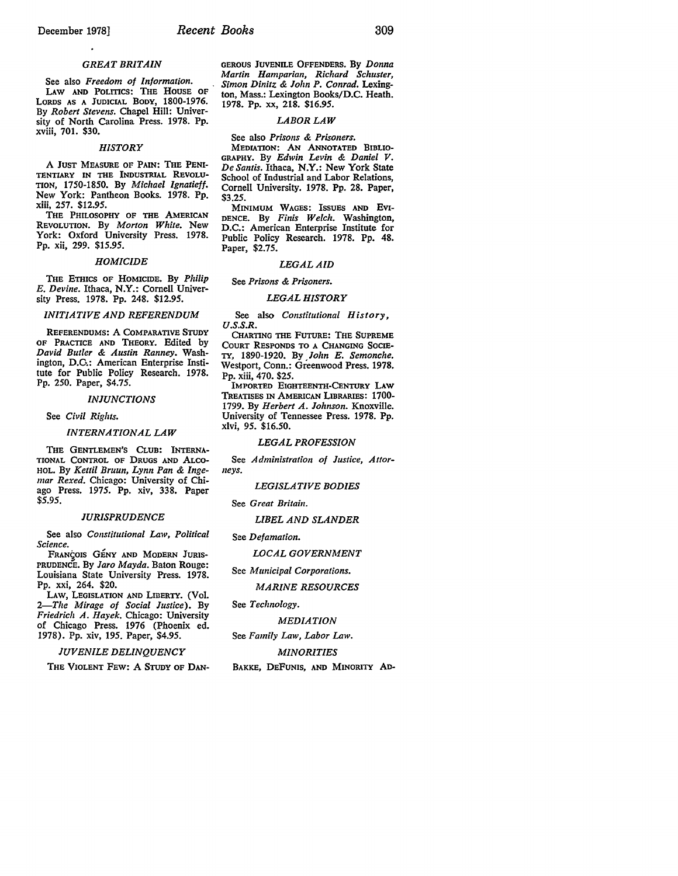#### *GREAT BRITAIN*

See also *Freedom of Information.*  LAW AND POLITICS: THE HOUSE OF LORDS AS A JUDICIAL BODY, 1800-1976. By *Robert Stevens.* Chapel Hill: University of North Carolina Press. 1978. Pp. xviii, 701. \$30.

#### *HISTORY*

A JUST MEASURE OF PAIN: THE PENI-TENTIARY IN THE INDUSTRIAL REVOLU-TION, 1750-1850. By *Michael lgnatieff.*  New York: Pantheon Books. 1978. Pp. xiii, 257. \$12.95.

THE PHILOSOPHY OF THE AMERICAN REVOLUTION. By *Morton White.* New York: Oxford University Press. 1978. Pp. xii, 299. \$15.95.

#### *HOMICIDE*

THE ETHICS OF HOMICIDE. By *Philip E. Devine.* Ithaca, **N.Y.:** Cornell University Press. 1978. Pp. 248. \$12.95.

#### *INITIATIVE AND REFERENDUM*

REFERENDUMS: A COMPARATIVE STUDY OF PRACTICE AND THEORY. Edited by *David Butler* & *Austin Ranney.* Washington, D.C.: American Enterprise Institute for Public Policy Research. 1978. Pp. 250. Paper, \$4.75.

#### *INJUNCTIONS*

See *Civil Rights.* 

#### *INTERNATIONAL LAW*

THE GENTLEMEN'S CLUB: INTERNA-TIONAL CONTROL OF DRUGS AND ALco-HOL. By *Kettil Bruun, Lynn Pan* & *Ingemar Rexed.* Chicago: University of Chiago Press. 1975. Pp. xiv, 338. Paper \$5.95.

#### *JURISPRUDENCE*

See also *Constitutional Law, Political Science.* 

FRANÇOIS GÉNY AND MODERN JURIS-PRUDENCE. By *Jaro Mayda.* Baton Rouge: Louisiana State University Press. 1978. Pp. xxi, 264. \$20.

LAW, LEGISLATION AND LIDERTY. (Vol. *2-The Mirage of Social Justice).* By *Friedrich A. Hayek.* Chicago: University of Chicago Press. 1976 (Phoenix ed. 1978). Pp. xiv, 195. Paper, \$4.95.

*JUVENILE DELINQUENCY* 

THE VIOLENT FEW: A STUDY OF **DAN-**

GEROUS JUVENILE OFFENDERS. By *Donna Martin Hamparian, Richard Schuster, Simon Dinitz* & *John P. Conrad.* Lexington, Mass.: Lexington Books/D.C. Heath. 1978. Pp. xx, 218. \$16.95.

#### *LABORLAW*

See also *Prisons* & Prisoners.

MEDIATION: AN ANNOTATED BIBLIO-GRAPHY. By *Edwin Levin* & *Daniel V. De Santis.* Ithaca, **N.Y.:** New York State School of Industrial and Labor Relations, Cornell University. 1978. Pp. 28. Paper, \$3.25.

MINIMUM WAGES: ISSUES AND EVI-DENCE. By *Finis Welch.* Washington, D.C.: American Enterprise Institute for Public Policy Research. 1978. Pp. 48. Paper, \$2.75.

#### *LEGALAID*

See *Prisons* & *Prisoners.* 

#### *LEGAL HISTORY*

See also *Constitutional History, U.S.S.R.* 

CHARTING THE FuTURE: THE SUPREME COURT RESPONDS TO A CHANGING SOCIE-TY, 1890-1920. By *John E. Semonche.*  Westport, Conn.: Greenwood Press. 1978. Pp. xiii, 470. \$25.

IMPORTED EIGHTEENTH-CENTURY LAW TREATISES IN AMERICAN LIBRARIES: 1700- 1799. By *Herbert A. Johnson.* Knoxville. University of Tennessee Press. 1978. Pp. xlvi, 95. \$16.50.

#### *LEGAL PROFESSION*

See *Administration of Justice, Attorneys.* 

#### *LEGISLATIVE BODIES*

See *Great Britain*.

#### *LIBEL AND SLANDER*

See *Defamation.* 

#### *LOCAL GOVERNMENT*

See *Municipal Corporations.* 

#### *MARINE RESOURCES*

#### See *Technology.*

*MEDIATION* 

See *Family Law, Labor Law.* 

#### *MINORITIES*

BAKKE, DEFuNIS, AND MINORITY AD-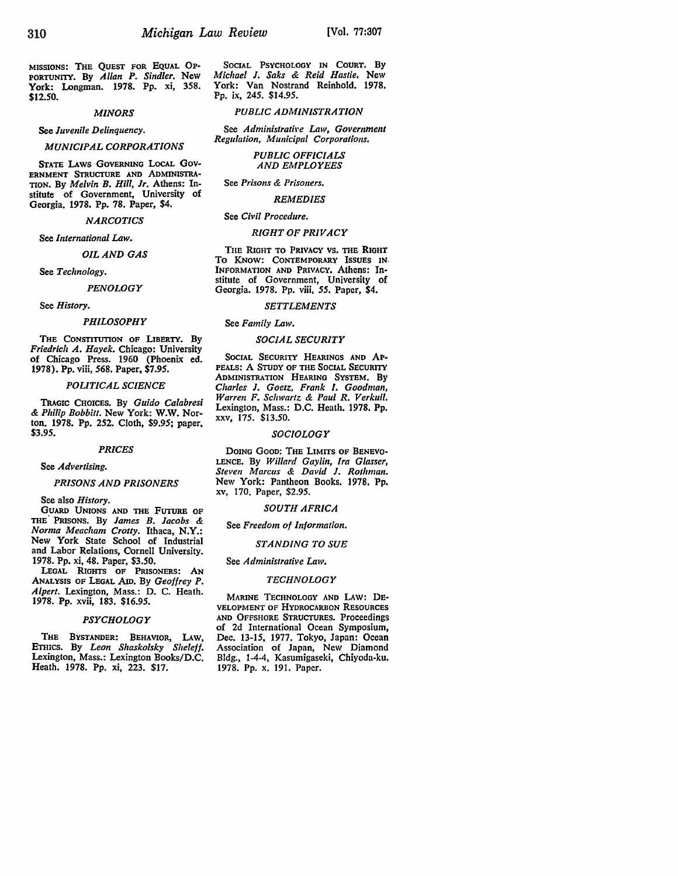MISSlONS: THE QUEST FOR EQUAL OP-PORTUNITY. By *Allan P. Sindler.* New York: Longman. 1978. Pp. xi, 358. **\$12.50.** 

#### *MINORS*

See *Juvenile Delinquency.* 

*MUNICIPAL CORPORATIONS* 

STATE LAWS GOVERNING LOCAL Gov-ERNMENT STRUCTURE AND AoMINISTRA· TION. By *Melvin B. Hill, Jr.* Athens: Institute of Government, University of Georgia. 1978. Pp. 78. Paper, \$4.

*NARCOTICS* 

See *International* Law.

*OIL AND GAS* 

See *Technology.* 

*PENOLOGY* 

See *History.* 

#### *PHILOSOPHY*

THE CONSTITUTION OF LIBERTY. By *Friedrich A. Hayek.* Chicago: University of Chicago Press. 1960 (Phoenix ed. **1978). Pp.** viii, 568. Paper, \$7.95.

#### *POLITICAL SCIENCE*

TRAGIC CHOICES. By *Guido Calabresi & Philip Bobbitt.* New York: **W.W.** Norton. 1978. Pp. 252. Cloth, \$9.95; paper, \$3.95.

#### *PRICES*

See *Advertising.* 

#### *PRISONS AND PRISONERS*

See also *History.* 

GUARD UNIONS AND THE FUTURE OF THE· PRISONS. By *James B. Jacobs & Norma Meacham Crotty.* Ithaca, **N.Y.:**  New York State School of Industrial and Labor Relations, Cornell University. 1978. Pp. xi, 48. Paper, \$3.50.

LEGAL RIGHTS OF PRISONERS: AN ANALYSIS OF LEGAL AID. By *Geoffrey P. Alpert.* Lexington, Mass.: D. C. Heath. 1978. Pp. xvii, 183. \$16.95.

#### *PSYCHOLOGY*

THE BYSTANDER: BEHAVIOR, LAW, ETHICS. By *Leon Shaskolsky Sheleff.* Lexington, Mass.: Lexington Books/D.C. Heath. 1978. Pp. xi, 223. \$17.

SOCIAL PSYCHOLOGY IN COURT. By *Michael J. Saks & Reid Hastie.* New York: Van Nostrand Reinhold. 1978. Pp. ix, 245. \$14.95.

### *PUBLIC ADMINISTRATION*

See *Administrative Law*, Government  $Regularian,$  *Municipal Corporations.* 

> *PUBLIC OFFICIALS AND EMPLOYEES*

See *Prisons & Prisoners.* 

## *REMEDIES*

See *Civil Procedure.* 

#### *RIGHT OF PRIVACY*

THE RIGHT TO PRIVACY VS. THE RIGHT To KNOW: CONTEMPORARY ISSUES **IN,**  INFORMATION AND PRIVACY. Athens: Institute of Government, University of Georgia. 1978. Pp. viii, *55.* Paper, \$4.

#### *SETTLEMENTS*

#### See *Family* Law.

#### *SOCIAL SECURITY*

SOCIAL SECURITY HEARINGS AND AP-PEALS: A STUDY OF THE SOCIAL SECURITY ADMINISTRATlON HEARING SYSTEM. By *Charles J. Goetz, Frank I. Goodman, Warren F. Schwartz & Paul R. Verkuil.*  Lexington, Mass.: D.C. Heath. 1978. Pp. XXV, 175. \$13.50.

#### *SOCIOLOGY*

DOING Gooo: THE LIMITS OF BENEVO• LENCE. By *Willard Gaylin, Ira Glasser, Steve11 Marcus* & *David J. Rothma11.*  New York: Pantheon Books. 1978. Pp. xv, 170. Paper, \$2.95.

#### *SOUTH AFRICA*

See *Freedom of Information.* 

#### *STANDING TO SUE*

#### See *Administrative Law.*

## *TECHNOLOGY*

MARINE TECHNOLOGY AND LAW: DE· VELOPMENT OF HYDROCARBON RESOURCES AND OFFSHORE STRUCTURES. Proceedings of 2d International Ocean Symposium, Dec. 13-15, 1977. Tokyo, Japan: Ocean Association of Japan, New Diamond Bldg., 1-4-4, Kasumigaseki, Chiyoda-ku. 1978. Pp. x. 191. Paper.